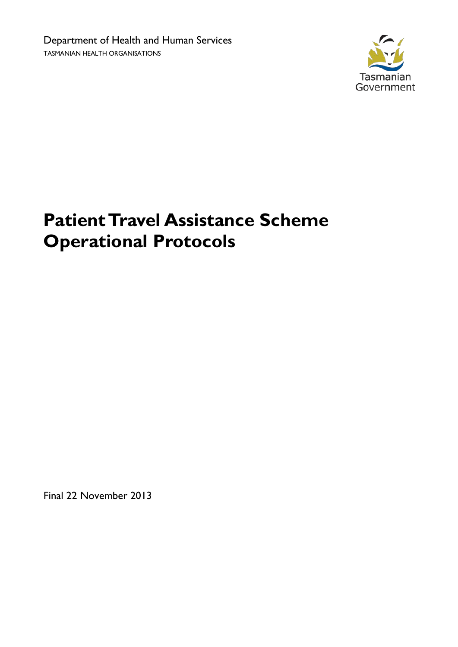

# **Patient Travel Assistance Scheme Operational Protocols**

<span id="page-0-0"></span>Final 22 November 2013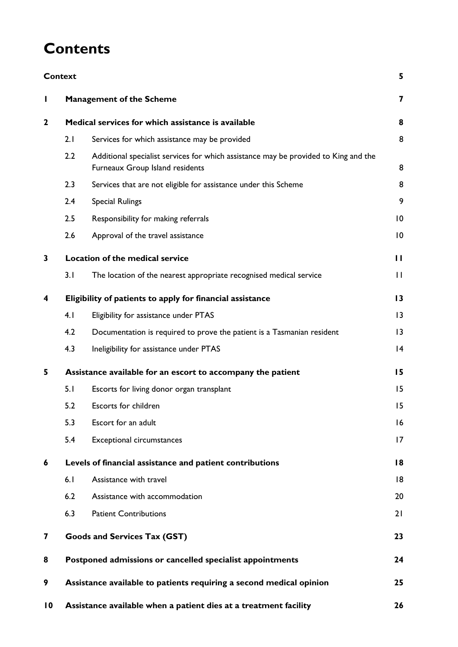## **Contents**

|                 | <b>Context</b>                                                  |                                                                                                                        | 5            |  |
|-----------------|-----------------------------------------------------------------|------------------------------------------------------------------------------------------------------------------------|--------------|--|
| L               |                                                                 | <b>Management of the Scheme</b>                                                                                        | 7            |  |
| $\mathbf{2}$    | Medical services for which assistance is available              |                                                                                                                        |              |  |
|                 | 2.1                                                             | Services for which assistance may be provided                                                                          | 8            |  |
|                 | 2.2                                                             | Additional specialist services for which assistance may be provided to King and the<br>Furneaux Group Island residents | 8            |  |
|                 | 2.3                                                             | Services that are not eligible for assistance under this Scheme                                                        | 8            |  |
|                 | 2.4                                                             | <b>Special Rulings</b>                                                                                                 | 9            |  |
|                 | 2.5                                                             | Responsibility for making referrals                                                                                    | 10           |  |
|                 | 2.6                                                             | Approval of the travel assistance                                                                                      | 10           |  |
| 3               | Location of the medical service                                 |                                                                                                                        |              |  |
|                 | 3.1                                                             | The location of the nearest appropriate recognised medical service                                                     | $\mathbf{H}$ |  |
| 4               | Eligibility of patients to apply for financial assistance       |                                                                                                                        |              |  |
|                 | 4.1                                                             | Eligibility for assistance under PTAS                                                                                  | 3            |  |
|                 | 4.2                                                             | Documentation is required to prove the patient is a Tasmanian resident                                                 | 13           |  |
|                 | 4.3                                                             | Ineligibility for assistance under PTAS                                                                                | 4            |  |
| 5               | Assistance available for an escort to accompany the patient     |                                                                                                                        |              |  |
|                 | 5.1                                                             | Escorts for living donor organ transplant                                                                              | 15           |  |
|                 | 5.2                                                             | Escorts for children                                                                                                   | 15           |  |
|                 | 5.3                                                             | Escort for an adult                                                                                                    | 16           |  |
|                 | 5.4                                                             | <b>Exceptional circumstances</b>                                                                                       | 17           |  |
| 6               | Levels of financial assistance and patient contributions        |                                                                                                                        |              |  |
|                 | 6.1                                                             | Assistance with travel                                                                                                 | 18           |  |
|                 | 6.2                                                             | Assistance with accommodation                                                                                          | 20           |  |
|                 | 6.3                                                             | <b>Patient Contributions</b>                                                                                           | 21           |  |
| 7               | <b>Goods and Services Tax (GST)</b>                             |                                                                                                                        | 23           |  |
| 8               | Postponed admissions or cancelled specialist appointments<br>24 |                                                                                                                        |              |  |
| 9               |                                                                 | Assistance available to patients requiring a second medical opinion<br>25                                              |              |  |
| $\overline{10}$ |                                                                 | Assistance available when a patient dies at a treatment facility<br>26                                                 |              |  |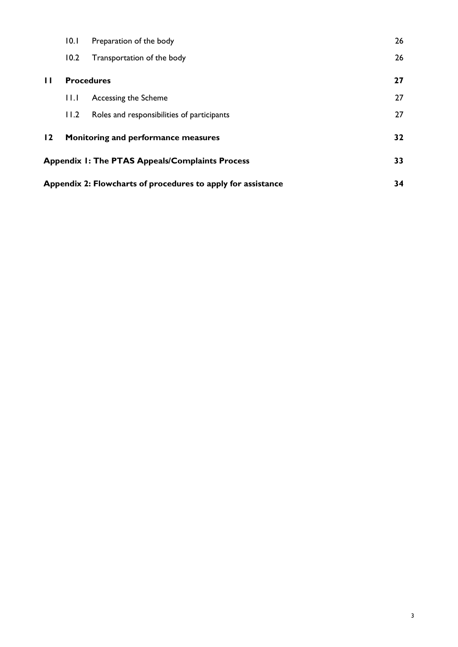| Appendix 2: Flowcharts of procedures to apply for assistance | 34                                  |                                                        |    |
|--------------------------------------------------------------|-------------------------------------|--------------------------------------------------------|----|
|                                                              |                                     | <b>Appendix 1: The PTAS Appeals/Complaints Process</b> | 33 |
| $\overline{2}$                                               | Monitoring and performance measures |                                                        | 32 |
|                                                              | 11.2                                | Roles and responsibilities of participants             | 27 |
|                                                              | H.L                                 | Accessing the Scheme                                   | 27 |
| $\mathbf{H}$                                                 | <b>Procedures</b>                   |                                                        | 27 |
|                                                              | 10.2                                | Transportation of the body                             | 26 |
|                                                              | 10.1                                | Preparation of the body                                | 26 |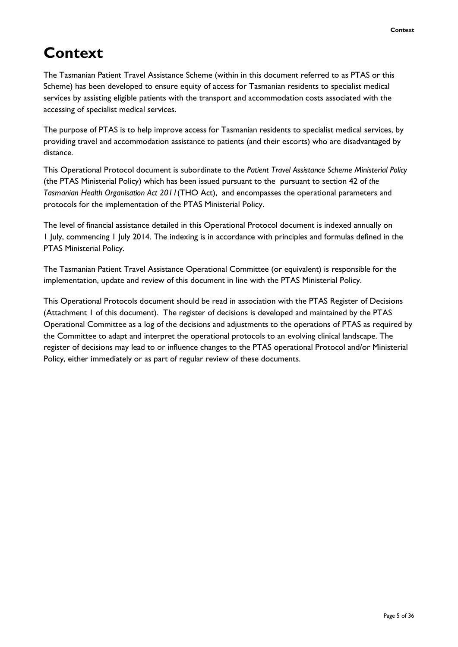## <span id="page-4-0"></span>**Context**

The Tasmanian Patient Travel Assistance Scheme (within in this document referred to as PTAS or this Scheme) has been developed to ensure equity of access for Tasmanian residents to specialist medical services by assisting eligible patients with the transport and accommodation costs associated with the accessing of specialist medical services.

The purpose of PTAS is to help improve access for Tasmanian residents to specialist medical services, by providing travel and accommodation assistance to patients (and their escorts) who are disadvantaged by distance.

This Operational Protocol document is subordinate to the *Patient Travel Assistance Scheme Ministerial Policy* (the PTAS Ministerial Policy) which has been issued pursuant to the pursuant to section 42 of *the Tasmanian Health Organisation Act 2011*(THO Act), and encompasses the operational parameters and protocols for the implementation of the PTAS Ministerial Policy.

The level of financial assistance detailed in this Operational Protocol document is indexed annually on 1 July, commencing 1 July 2014. The indexing is in accordance with principles and formulas defined in the PTAS Ministerial Policy.

The Tasmanian Patient Travel Assistance Operational Committee (or equivalent) is responsible for the implementation, update and review of this document in line with the PTAS Ministerial Policy.

This Operational Protocols document should be read in association with the PTAS Register of Decisions (Attachment 1 of this document). The register of decisions is developed and maintained by the PTAS Operational Committee as a log of the decisions and adjustments to the operations of PTAS as required by the Committee to adapt and interpret the operational protocols to an evolving clinical landscape. The register of decisions may lead to or influence changes to the PTAS operational Protocol and/or Ministerial Policy, either immediately or as part of regular review of these documents.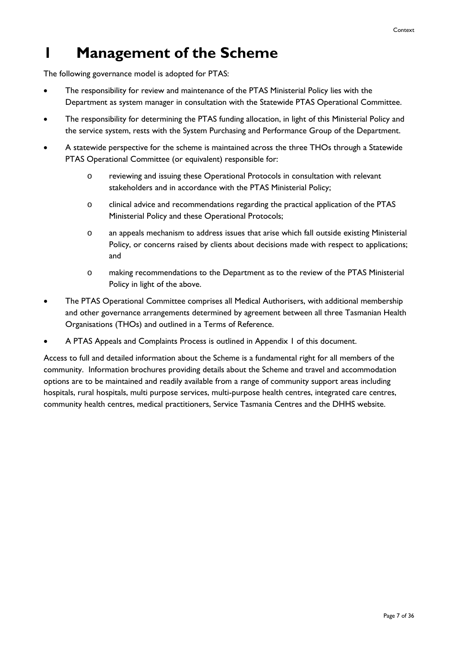## <span id="page-6-0"></span>**1 Management of the Scheme**

The following governance model is adopted for PTAS:

- The responsibility for review and maintenance of the PTAS Ministerial Policy lies with the Department as system manager in consultation with the Statewide PTAS Operational Committee.
- The responsibility for determining the PTAS funding allocation, in light of this Ministerial Policy and the service system, rests with the System Purchasing and Performance Group of the Department.
- A statewide perspective for the scheme is maintained across the three THOs through a Statewide PTAS Operational Committee (or equivalent) responsible for:
	- o reviewing and issuing these Operational Protocols in consultation with relevant stakeholders and in accordance with the PTAS Ministerial Policy;
	- o clinical advice and recommendations regarding the practical application of the PTAS Ministerial Policy and these Operational Protocols;
	- o an appeals mechanism to address issues that arise which fall outside existing Ministerial Policy, or concerns raised by clients about decisions made with respect to applications; and
	- o making recommendations to the Department as to the review of the PTAS Ministerial Policy in light of the above.
- The PTAS Operational Committee comprises all Medical Authorisers, with additional membership and other governance arrangements determined by agreement between all three Tasmanian Health Organisations (THOs) and outlined in a Terms of Reference.
- A PTAS Appeals and Complaints Process is outlined in Appendix 1 of this document.

Access to full and detailed information about the Scheme is a fundamental right for all members of the community. Information brochures providing details about the Scheme and travel and accommodation options are to be maintained and readily available from a range of community support areas including hospitals, rural hospitals, multi purpose services, multi-purpose health centres, integrated care centres, community health centres, medical practitioners, Service Tasmania Centres and the DHHS website.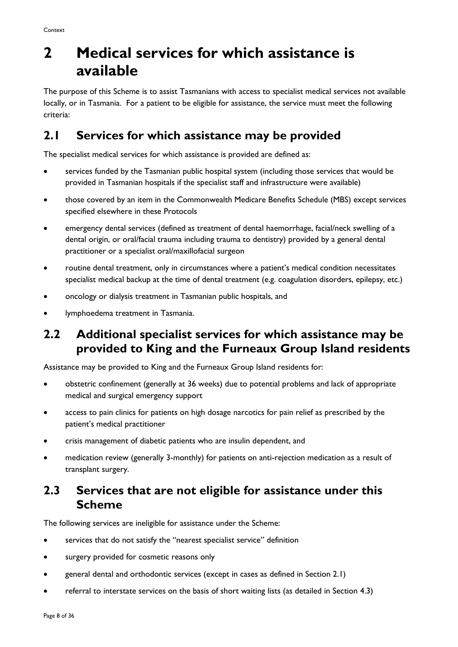## <span id="page-7-0"></span>**2 Medical services for which assistance is available**

The purpose of this Scheme is to assist Tasmanians with access to specialist medical services not available locally, or in Tasmania. For a patient to be eligible for assistance, the service must meet the following criteria:

### <span id="page-7-1"></span>**2.1 Services for which assistance may be provided**

The specialist medical services for which assistance is provided are defined as:

- services funded by the Tasmanian public hospital system (including those services that would be provided in Tasmanian hospitals if the specialist staff and infrastructure were available)
- those covered by an item in the Commonwealth Medicare Benefits Schedule (MBS) except services specified elsewhere in these Protocols
- emergency dental services (defined as treatment of dental haemorrhage, facial/neck swelling of a dental origin, or oral/facial trauma including trauma to dentistry) provided by a general dental practitioner or a specialist oral/maxillofacial surgeon
- routine dental treatment, only in circumstances where a patient's medical condition necessitates specialist medical backup at the time of dental treatment (e.g. coagulation disorders, epilepsy, etc.)
- oncology or dialysis treatment in Tasmanian public hospitals, and
- lymphoedema treatment in Tasmania.

### <span id="page-7-2"></span>**2.2 Additional specialist services for which assistance may be provided to King and the Furneaux Group Island residents**

Assistance may be provided to King and the Furneaux Group Island residents for:

- obstetric confinement (generally at 36 weeks) due to potential problems and lack of appropriate medical and surgical emergency support
- access to pain clinics for patients on high dosage narcotics for pain relief as prescribed by the patient's medical practitioner
- crisis management of diabetic patients who are insulin dependent, and
- medication review (generally 3-monthly) for patients on anti-rejection medication as a result of transplant surgery.

### <span id="page-7-3"></span>**2.3 Services that are not eligible for assistance under this Scheme**

The following services are ineligible for assistance under the Scheme:

- services that do not satisfy the "nearest specialist service" definition
- surgery provided for cosmetic reasons only
- general dental and orthodontic services (except in cases as defined in Section 2.1)
- referral to interstate services on the basis of short waiting lists (as detailed in Section 4.3)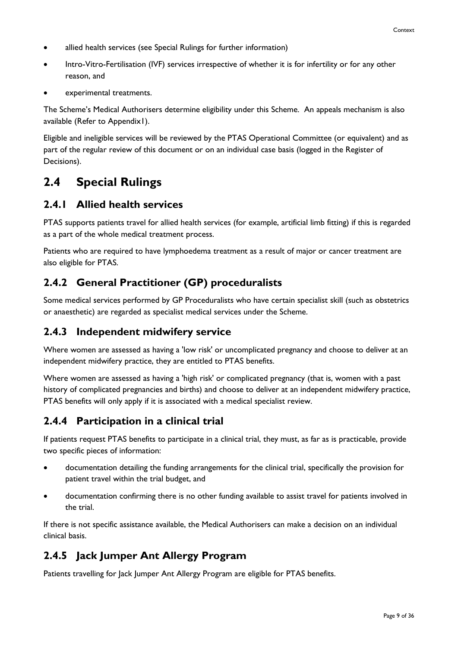- allied health services (see Special Rulings for further information)
- Intro-Vitro-Fertilisation (IVF) services irrespective of whether it is for infertility or for any other reason, and
- experimental treatments.

The Scheme's Medical Authorisers determine eligibility under this Scheme. An appeals mechanism is also available (Refer to Appendix1).

Eligible and ineligible services will be reviewed by the PTAS Operational Committee (or equivalent) and as part of the regular review of this document or on an individual case basis (logged in the Register of Decisions).

### <span id="page-8-0"></span>**2.4 Special Rulings**

#### **2.4.1 Allied health services**

PTAS supports patients travel for allied health services (for example, artificial limb fitting) if this is regarded as a part of the whole medical treatment process.

Patients who are required to have lymphoedema treatment as a result of major or cancer treatment are also eligible for PTAS.

### **2.4.2 General Practitioner (GP) proceduralists**

Some medical services performed by GP Proceduralists who have certain specialist skill (such as obstetrics or anaesthetic) are regarded as specialist medical services under the Scheme.

#### **2.4.3 Independent midwifery service**

Where women are assessed as having a 'low risk' or uncomplicated pregnancy and choose to deliver at an independent midwifery practice, they are entitled to PTAS benefits.

Where women are assessed as having a 'high risk' or complicated pregnancy (that is, women with a past history of complicated pregnancies and births) and choose to deliver at an independent midwifery practice, PTAS benefits will only apply if it is associated with a medical specialist review.

#### **2.4.4 Participation in a clinical trial**

If patients request PTAS benefits to participate in a clinical trial, they must, as far as is practicable, provide two specific pieces of information:

- documentation detailing the funding arrangements for the clinical trial, specifically the provision for patient travel within the trial budget, and
- documentation confirming there is no other funding available to assist travel for patients involved in the trial.

If there is not specific assistance available, the Medical Authorisers can make a decision on an individual clinical basis.

### **2.4.5 Jack Jumper Ant Allergy Program**

Patients travelling for Jack Jumper Ant Allergy Program are eligible for PTAS benefits.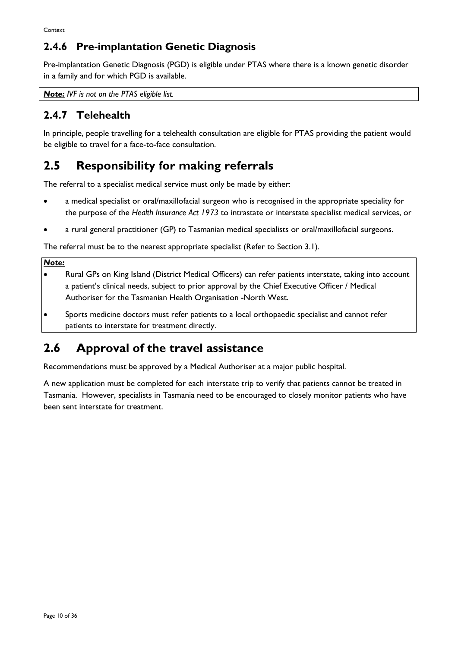### **2.4.6 Pre-implantation Genetic Diagnosis**

Pre-implantation Genetic Diagnosis (PGD) is eligible under PTAS where there is a known genetic disorder in a family and for which PGD is available.

*Note: IVF is not on the PTAS eligible list.* 

### **2.4.7 Telehealth**

In principle, people travelling for a telehealth consultation are eligible for PTAS providing the patient would be eligible to travel for a face-to-face consultation.

### <span id="page-9-0"></span>**2.5 Responsibility for making referrals**

The referral to a specialist medical service must only be made by either:

- a medical specialist or oral/maxillofacial surgeon who is recognised in the appropriate speciality for the purpose of the *Health Insurance Act 1973* to intrastate or interstate specialist medical services, or
- a rural general practitioner (GP) to Tasmanian medical specialists or oral/maxillofacial surgeons.

The referral must be to the nearest appropriate specialist (Refer to Section 3.1).

#### *Note:*

- Rural GPs on King Island (District Medical Officers) can refer patients interstate, taking into account a patient's clinical needs, subject to prior approval by the Chief Executive Officer / Medical Authoriser for the Tasmanian Health Organisation -North West.
- Sports medicine doctors must refer patients to a local orthopaedic specialist and cannot refer patients to interstate for treatment directly.

### <span id="page-9-1"></span>**2.6 Approval of the travel assistance**

Recommendations must be approved by a Medical Authoriser at a major public hospital.

A new application must be completed for each interstate trip to verify that patients cannot be treated in Tasmania. However, specialists in Tasmania need to be encouraged to closely monitor patients who have been sent interstate for treatment.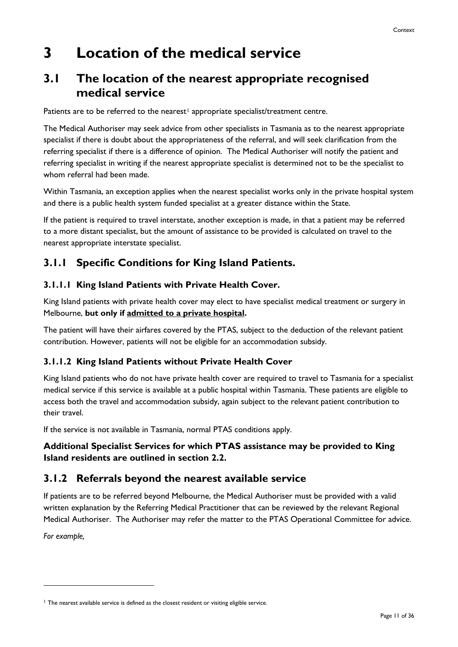## <span id="page-10-0"></span>**3 Location of the medical service**

### <span id="page-10-1"></span>**3.1 The location of the nearest appropriate recognised medical service**

Patients are to be referred to the nearest<sup>[1](#page-0-0)</sup> appropriate specialist/treatment centre.

The Medical Authoriser may seek advice from other specialists in Tasmania as to the nearest appropriate specialist if there is doubt about the appropriateness of the referral, and will seek clarification from the referring specialist if there is a difference of opinion. The Medical Authoriser will notify the patient and referring specialist in writing if the nearest appropriate specialist is determined not to be the specialist to whom referral had been made.

Within Tasmania, an exception applies when the nearest specialist works only in the private hospital system and there is a public health system funded specialist at a greater distance within the State.

If the patient is required to travel interstate, another exception is made, in that a patient may be referred to a more distant specialist, but the amount of assistance to be provided is calculated on travel to the nearest appropriate interstate specialist.

### **3.1.1 Specific Conditions for King Island Patients.**

#### **3.1.1.1 King Island Patients with Private Health Cover.**

King Island patients with private health cover may elect to have specialist medical treatment or surgery in Melbourne, **but only if admitted to a private hospital.**

The patient will have their airfares covered by the PTAS, subject to the deduction of the relevant patient contribution. However, patients will not be eligible for an accommodation subsidy.

#### **3.1.1.2 King Island Patients without Private Health Cover**

King Island patients who do not have private health cover are required to travel to Tasmania for a specialist medical service if this service is available at a public hospital within Tasmania. These patients are eligible to access both the travel and accommodation subsidy, again subject to the relevant patient contribution to their travel.

If the service is not available in Tasmania, normal PTAS conditions apply.

#### **Additional Specialist Services for which PTAS assistance may be provided to King Island residents are outlined in section 2.2.**

### **3.1.2 Referrals beyond the nearest available service**

If patients are to be referred beyond Melbourne, the Medical Authoriser must be provided with a valid written explanation by the Referring Medical Practitioner that can be reviewed by the relevant Regional Medical Authoriser. The Authoriser may refer the matter to the PTAS Operational Committee for advice.

*For example,*

<span id="page-10-2"></span><sup>&</sup>lt;sup>1</sup> The nearest available service is defined as the closest resident or visiting eligible service.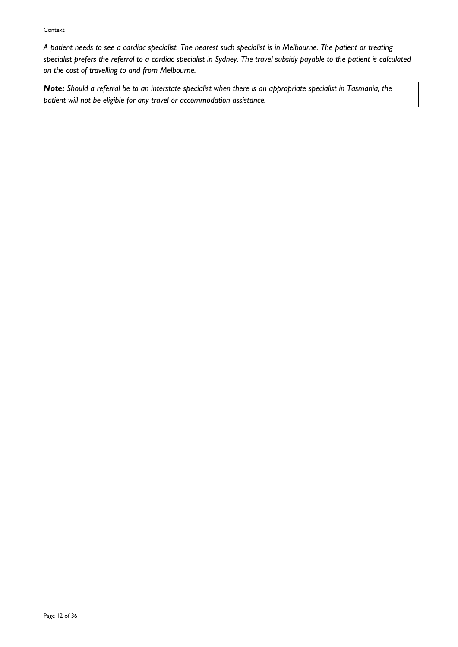#### Context

*A patient needs to see a cardiac specialist. The nearest such specialist is in Melbourne. The patient or treating specialist prefers the referral to a cardiac specialist in Sydney. The travel subsidy payable to the patient is calculated on the cost of travelling to and from Melbourne.*

*Note: Should a referral be to an interstate specialist when there is an appropriate specialist in Tasmania, the patient will not be eligible for any travel or accommodation assistance.*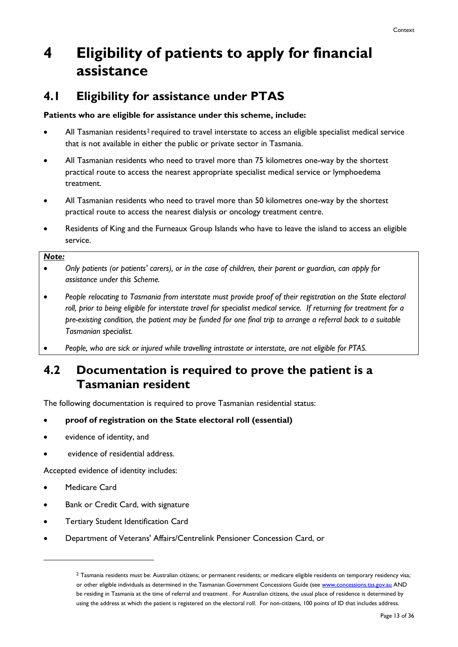## <span id="page-12-0"></span>**4 Eligibility of patients to apply for financial assistance**

### <span id="page-12-1"></span>**4.1 Eligibility for assistance under PTAS**

#### **Patients who are eligible for assistance under this scheme, include:**

- All Tasmanian residents<sup>[2](#page-10-2)</sup> required to travel interstate to access an eligible specialist medical service that is not available in either the public or private sector in Tasmania.
- All Tasmanian residents who need to travel more than 75 kilometres one-way by the shortest practical route to access the nearest appropriate specialist medical service or lymphoedema treatment.
- All Tasmanian residents who need to travel more than 50 kilometres one-way by the shortest practical route to access the nearest dialysis or oncology treatment centre.
- Residents of King and the Furneaux Group Islands who have to leave the island to access an eligible service.

#### *Note:*

- *Only patients (or patients' carers), or in the case of children, their parent or guardian, can apply for assistance under this Scheme.*
- *People relocating to Tasmania from interstate must provide proof of their registration on the State electoral roll, prior to being eligible for interstate travel for specialist medical service. If returning for treatment for a pre-existing condition, the patient may be funded for one final trip to arrange a referral back to a suitable Tasmanian specialist.*

• *People, who are sick or injured while travelling intrastate or interstate, are not eligible for PTAS.*

### <span id="page-12-2"></span>**4.2 Documentation is required to prove the patient is a Tasmanian resident**

The following documentation is required to prove Tasmanian residential status:

#### • **proof of registration on the State electoral roll (essential)**

- evidence of identity, and
- evidence of residential address.

Accepted evidence of identity includes:

Medicare Card

- Bank or Credit Card, with signature
- Tertiary Student Identification Card
- <span id="page-12-3"></span>• Department of Veterans' Affairs/Centrelink Pensioner Concession Card, or

<sup>2</sup> Tasmania residents must be: Australian citizens; or permanent residents; or medicare eligible residents on temporary residency visa; or other eligible individuals as determined in the Tasmanian Government Concessions Guide (se[e www.concessions.tas.gov.au](http://www.concessions.tas.gov.au/) AND be residing in Tasmania at the time of referral and treatment . For Australian citizens, the usual place of residence is determined by using the address at which the patient is registered on the electoral roll. For non-citizens, 100 points of ID that includes address.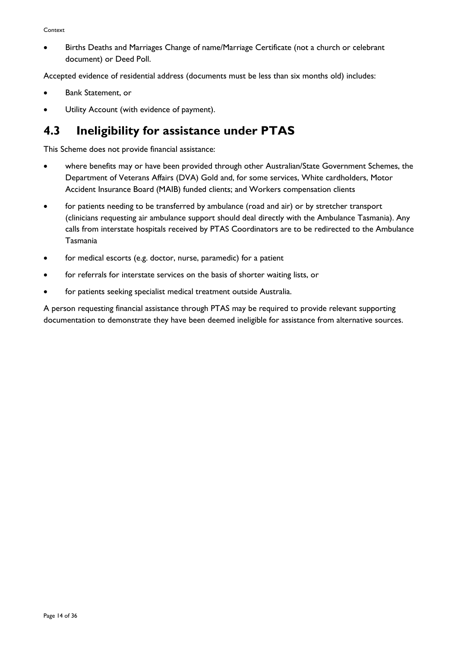• Births Deaths and Marriages Change of name/Marriage Certificate (not a church or celebrant document) or Deed Poll.

Accepted evidence of residential address (documents must be less than six months old) includes:

- Bank Statement, or
- Utility Account (with evidence of payment).

### <span id="page-13-0"></span>**4.3 Ineligibility for assistance under PTAS**

This Scheme does not provide financial assistance:

- where benefits may or have been provided through other Australian/State Government Schemes, the Department of Veterans Affairs (DVA) Gold and, for some services, White cardholders, Motor Accident Insurance Board (MAIB) funded clients; and Workers compensation clients
- for patients needing to be transferred by ambulance (road and air) or by stretcher transport (clinicians requesting air ambulance support should deal directly with the Ambulance Tasmania). Any calls from interstate hospitals received by PTAS Coordinators are to be redirected to the Ambulance Tasmania
- for medical escorts (e.g. doctor, nurse, paramedic) for a patient
- for referrals for interstate services on the basis of shorter waiting lists, or
- for patients seeking specialist medical treatment outside Australia.

A person requesting financial assistance through PTAS may be required to provide relevant supporting documentation to demonstrate they have been deemed ineligible for assistance from alternative sources.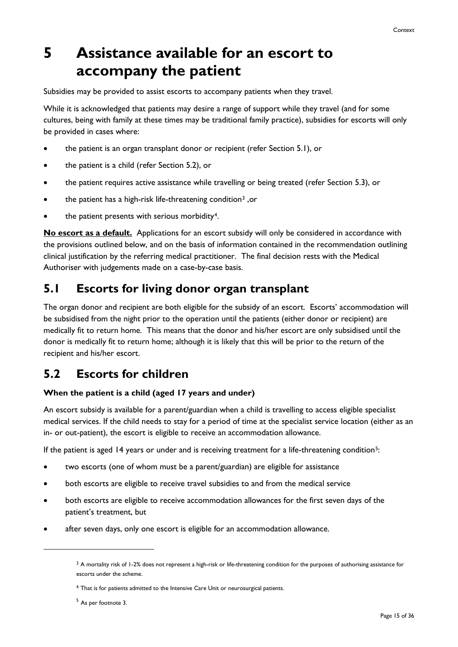## <span id="page-14-0"></span>**5 Assistance available for an escort to accompany the patient**

Subsidies may be provided to assist escorts to accompany patients when they travel.

While it is acknowledged that patients may desire a range of support while they travel (and for some cultures, being with family at these times may be traditional family practice), subsidies for escorts will only be provided in cases where:

- the patient is an organ transplant donor or recipient (refer Section 5.1), or
- the patient is a child (refer Section 5.2), or
- the patient requires active assistance while travelling or being treated (refer Section 5.3), or
- the patient has a high-risk life-threatening condition[3](#page-12-3) ,or
- the patient presents with serious morbidity<sup>[4](#page-14-3)</sup>.

**No escort as a default.** Applications for an escort subsidy will only be considered in accordance with the provisions outlined below, and on the basis of information contained in the recommendation outlining clinical justification by the referring medical practitioner. The final decision rests with the Medical Authoriser with judgements made on a case-by-case basis.

### <span id="page-14-1"></span>**5.1 Escorts for living donor organ transplant**

The organ donor and recipient are both eligible for the subsidy of an escort. Escorts' accommodation will be subsidised from the night prior to the operation until the patients (either donor or recipient) are medically fit to return home. This means that the donor and his/her escort are only subsidised until the donor is medically fit to return home; although it is likely that this will be prior to the return of the recipient and his/her escort.

### <span id="page-14-2"></span>**5.2 Escorts for children**

#### **When the patient is a child (aged 17 years and under)**

An escort subsidy is available for a parent/guardian when a child is travelling to access eligible specialist medical services. If the child needs to stay for a period of time at the specialist service location (either as an in- or out-patient), the escort is eligible to receive an accommodation allowance.

If the patient is aged 14 years or under and is receiving treatment for a life-threatening condition<sup>5</sup>:

- two escorts (one of whom must be a parent/guardian) are eligible for assistance
- both escorts are eligible to receive travel subsidies to and from the medical service
- both escorts are eligible to receive accommodation allowances for the first seven days of the patient's treatment, but
- <span id="page-14-3"></span>• after seven days, only one escort is eligible for an accommodation allowance.

 $3$  A mortality risk of 1-2% does not represent a high-risk or life-threatening condition for the purposes of authorising assistance for escorts under the scheme.

<sup>4</sup> That is for patients admitted to the Intensive Care Unit or neurosurgical patients.

<span id="page-14-4"></span><sup>5</sup> As per footnote 3.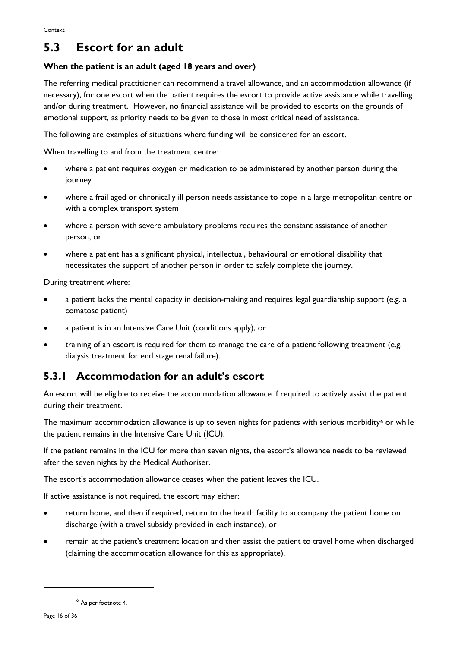### <span id="page-15-0"></span>**5.3 Escort for an adult**

#### **When the patient is an adult (aged 18 years and over)**

The referring medical practitioner can recommend a travel allowance, and an accommodation allowance (if necessary), for one escort when the patient requires the escort to provide active assistance while travelling and/or during treatment. However, no financial assistance will be provided to escorts on the grounds of emotional support, as priority needs to be given to those in most critical need of assistance.

The following are examples of situations where funding will be considered for an escort.

When travelling to and from the treatment centre:

- where a patient requires oxygen or medication to be administered by another person during the journey
- where a frail aged or chronically ill person needs assistance to cope in a large metropolitan centre or with a complex transport system
- where a person with severe ambulatory problems requires the constant assistance of another person, or
- where a patient has a significant physical, intellectual, behavioural or emotional disability that necessitates the support of another person in order to safely complete the journey.

During treatment where:

- a patient lacks the mental capacity in decision-making and requires legal guardianship support (e.g. a comatose patient)
- a patient is in an Intensive Care Unit (conditions apply), or
- training of an escort is required for them to manage the care of a patient following treatment (e.g. dialysis treatment for end stage renal failure).

### **5.3.1 Accommodation for an adult's escort**

An escort will be eligible to receive the accommodation allowance if required to actively assist the patient during their treatment.

The maximum accommodation allowance is up to seven nights for patients with serious morbidity $\epsilon$  or while the patient remains in the Intensive Care Unit (ICU).

If the patient remains in the ICU for more than seven nights, the escort's allowance needs to be reviewed after the seven nights by the Medical Authoriser.

The escort's accommodation allowance ceases when the patient leaves the ICU.

If active assistance is not required, the escort may either:

- return home, and then if required, return to the health facility to accompany the patient home on discharge (with a travel subsidy provided in each instance), or
- remain at the patient's treatment location and then assist the patient to travel home when discharged (claiming the accommodation allowance for this as appropriate).

<span id="page-15-1"></span><sup>6</sup> As per footnote 4.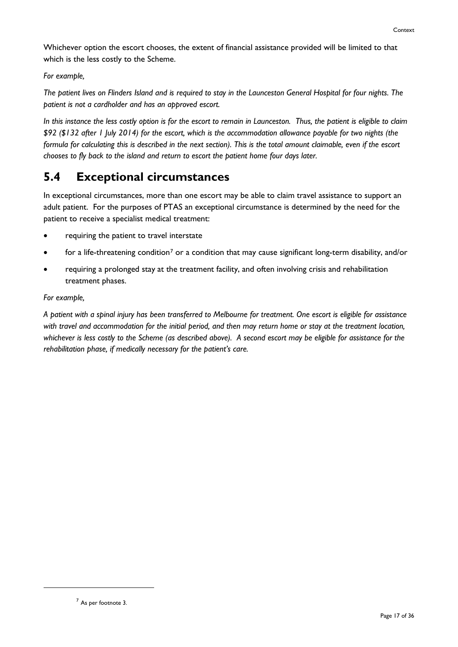Whichever option the escort chooses, the extent of financial assistance provided will be limited to that which is the less costly to the Scheme.

#### *For example,*

*The patient lives on Flinders Island and is required to stay in the Launceston General Hospital for four nights. The patient is not a cardholder and has an approved escort.* 

*In this instance the less costly option is for the escort to remain in Launceston. Thus, the patient is eligible to claim \$92 (\$132 after 1 July 2014) for the escort, which is the accommodation allowance payable for two nights (the formula for calculating this is described in the next section). This is the total amount claimable, even if the escort chooses to fly back to the island and return to escort the patient home four days later.* 

### <span id="page-16-0"></span>**5.4 Exceptional circumstances**

In exceptional circumstances, more than one escort may be able to claim travel assistance to support an adult patient. For the purposes of PTAS an exceptional circumstance is determined by the need for the patient to receive a specialist medical treatment:

- requiring the patient to travel interstate
- for a life-threatening condition<sup>[7](#page-15-1)</sup> or a condition that may cause significant long-term disability, and/or
- requiring a prolonged stay at the treatment facility, and often involving crisis and rehabilitation treatment phases.

#### *For example,*

*A patient with a spinal injury has been transferred to Melbourne for treatment. One escort is eligible for assistance with travel and accommodation for the initial period, and then may return home or stay at the treatment location, whichever is less costly to the Scheme (as described above). A second escort may be eligible for assistance for the rehabilitation phase, if medically necessary for the patient's care.*

<sup>7</sup> As per footnote 3.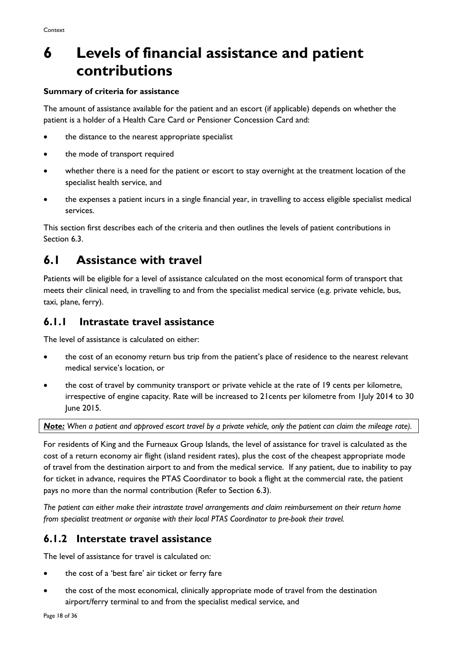## <span id="page-17-0"></span>**6 Levels of financial assistance and patient contributions**

#### **Summary of criteria for assistance**

The amount of assistance available for the patient and an escort (if applicable) depends on whether the patient is a holder of a Health Care Card or Pensioner Concession Card and:

- the distance to the nearest appropriate specialist
- the mode of transport required
- whether there is a need for the patient or escort to stay overnight at the treatment location of the specialist health service, and
- the expenses a patient incurs in a single financial year, in travelling to access eligible specialist medical services.

This section first describes each of the criteria and then outlines the levels of patient contributions in Section 6.3.

### <span id="page-17-1"></span>**6.1 Assistance with travel**

Patients will be eligible for a level of assistance calculated on the most economical form of transport that meets their clinical need, in travelling to and from the specialist medical service (e.g. private vehicle, bus, taxi, plane, ferry).

### **6.1.1 Intrastate travel assistance**

The level of assistance is calculated on either:

- the cost of an economy return bus trip from the patient's place of residence to the nearest relevant medical service's location, or
- the cost of travel by community transport or private vehicle at the rate of 19 cents per kilometre, irrespective of engine capacity. Rate will be increased to 21cents per kilometre from 1July 2014 to 30 June 2015.

*Note: When a patient and approved escort travel by a private vehicle, only the patient can claim the mileage rate).*

For residents of King and the Furneaux Group Islands, the level of assistance for travel is calculated as the cost of a return economy air flight (island resident rates), plus the cost of the cheapest appropriate mode of travel from the destination airport to and from the medical service. If any patient, due to inability to pay for ticket in advance, requires the PTAS Coordinator to book a flight at the commercial rate, the patient pays no more than the normal contribution (Refer to Section 6.3).

*The patient can either make their intrastate travel arrangements and claim reimbursement on their return home from specialist treatment or organise with their local PTAS Coordinator to pre-book their travel.*

### **6.1.2 Interstate travel assistance**

The level of assistance for travel is calculated on:

- the cost of a 'best fare' air ticket or ferry fare
- the cost of the most economical, clinically appropriate mode of travel from the destination airport/ferry terminal to and from the specialist medical service, and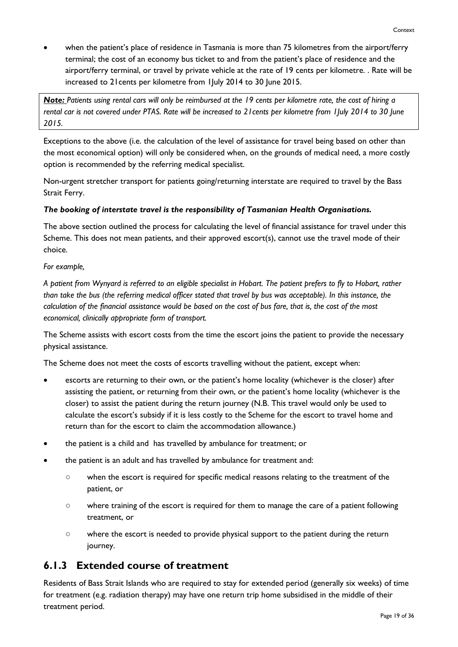when the patient's place of residence in Tasmania is more than 75 kilometres from the airport/ferry terminal; the cost of an economy bus ticket to and from the patient's place of residence and the airport/ferry terminal, or travel by private vehicle at the rate of 19 cents per kilometre. . Rate will be increased to 21cents per kilometre from 1July 2014 to 30 June 2015.

*Note: Patients using rental cars will only be reimbursed at the 19 cents per kilometre rate, the cost of hiring a rental car is not covered under PTAS. Rate will be increased to 21cents per kilometre from 1July 2014 to 30 June 2015.*

Exceptions to the above (i.e. the calculation of the level of assistance for travel being based on other than the most economical option) will only be considered when, on the grounds of medical need, a more costly option is recommended by the referring medical specialist.

Non-urgent stretcher transport for patients going/returning interstate are required to travel by the Bass Strait Ferry.

#### *The booking of interstate travel is the responsibility of Tasmanian Health Organisations.*

The above section outlined the process for calculating the level of financial assistance for travel under this Scheme. This does not mean patients, and their approved escort(s), cannot use the travel mode of their choice.

*For example,*

*A patient from Wynyard is referred to an eligible specialist in Hobart. The patient prefers to fly to Hobart, rather than take the bus (the referring medical officer stated that travel by bus was acceptable). In this instance, the calculation of the financial assistance would be based on the cost of bus fare, that is, the cost of the most economical, clinically appropriate form of transport.* 

The Scheme assists with escort costs from the time the escort joins the patient to provide the necessary physical assistance.

The Scheme does not meet the costs of escorts travelling without the patient, except when:

- escorts are returning to their own, or the patient's home locality (whichever is the closer) after assisting the patient, or returning from their own, or the patient's home locality (whichever is the closer) to assist the patient during the return journey (N.B. This travel would only be used to calculate the escort's subsidy if it is less costly to the Scheme for the escort to travel home and return than for the escort to claim the accommodation allowance.)
- the patient is a child and has travelled by ambulance for treatment; or
- the patient is an adult and has travelled by ambulance for treatment and:
	- when the escort is required for specific medical reasons relating to the treatment of the patient, or
	- where training of the escort is required for them to manage the care of a patient following treatment, or
	- where the escort is needed to provide physical support to the patient during the return journey.

### **6.1.3 Extended course of treatment**

Residents of Bass Strait Islands who are required to stay for extended period (generally six weeks) of time for treatment (e.g. radiation therapy) may have one return trip home subsidised in the middle of their treatment period.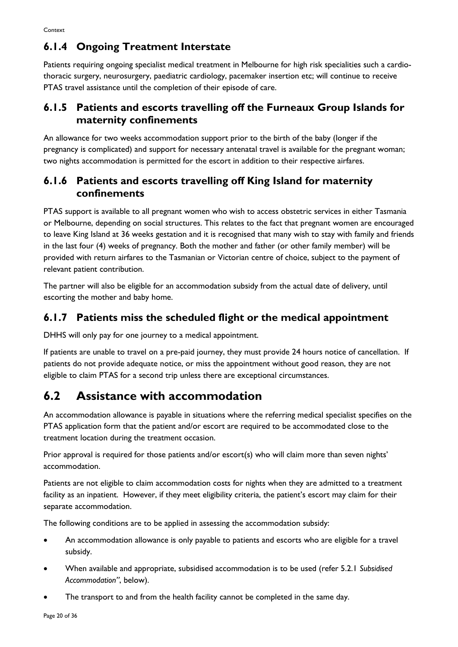### **6.1.4 Ongoing Treatment Interstate**

Patients requiring ongoing specialist medical treatment in Melbourne for high risk specialities such a cardiothoracic surgery, neurosurgery, paediatric cardiology, pacemaker insertion etc; will continue to receive PTAS travel assistance until the completion of their episode of care.

### **6.1.5 Patients and escorts travelling off the Furneaux Group Islands for maternity confinements**

An allowance for two weeks accommodation support prior to the birth of the baby (longer if the pregnancy is complicated) and support for necessary antenatal travel is available for the pregnant woman; two nights accommodation is permitted for the escort in addition to their respective airfares.

### **6.1.6 Patients and escorts travelling off King Island for maternity confinements**

PTAS support is available to all pregnant women who wish to access obstetric services in either Tasmania or Melbourne, depending on social structures. This relates to the fact that pregnant women are encouraged to leave King Island at 36 weeks gestation and it is recognised that many wish to stay with family and friends in the last four (4) weeks of pregnancy. Both the mother and father (or other family member) will be provided with return airfares to the Tasmanian or Victorian centre of choice, subject to the payment of relevant patient contribution.

The partner will also be eligible for an accommodation subsidy from the actual date of delivery, until escorting the mother and baby home.

### **6.1.7 Patients miss the scheduled flight or the medical appointment**

DHHS will only pay for one journey to a medical appointment.

If patients are unable to travel on a pre-paid journey, they must provide 24 hours notice of cancellation. If patients do not provide adequate notice, or miss the appointment without good reason, they are not eligible to claim PTAS for a second trip unless there are exceptional circumstances.

## <span id="page-19-0"></span>**6.2 Assistance with accommodation**

An accommodation allowance is payable in situations where the referring medical specialist specifies on the PTAS application form that the patient and/or escort are required to be accommodated close to the treatment location during the treatment occasion.

Prior approval is required for those patients and/or escort(s) who will claim more than seven nights' accommodation.

Patients are not eligible to claim accommodation costs for nights when they are admitted to a treatment facility as an inpatient. However, if they meet eligibility criteria, the patient's escort may claim for their separate accommodation.

The following conditions are to be applied in assessing the accommodation subsidy:

- An accommodation allowance is only payable to patients and escorts who are eligible for a travel subsidy.
- When available and appropriate, subsidised accommodation is to be used (refer 5.2.1 *Subsidised Accommodation"*, below).
- The transport to and from the health facility cannot be completed in the same day.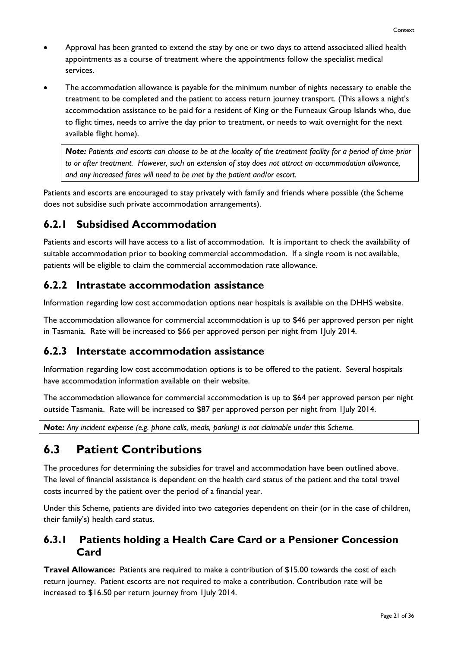- Approval has been granted to extend the stay by one or two days to attend associated allied health appointments as a course of treatment where the appointments follow the specialist medical services.
- The accommodation allowance is payable for the minimum number of nights necessary to enable the treatment to be completed and the patient to access return journey transport. (This allows a night's accommodation assistance to be paid for a resident of King or the Furneaux Group Islands who, due to flight times, needs to arrive the day prior to treatment, or needs to wait overnight for the next available flight home).

*Note: Patients and escorts can choose to be at the locality of the treatment facility for a period of time prior to or after treatment. However, such an extension of stay does not attract an accommodation allowance, and any increased fares will need to be met by the patient and/or escort.*

Patients and escorts are encouraged to stay privately with family and friends where possible (the Scheme does not subsidise such private accommodation arrangements).

### **6.2.1 Subsidised Accommodation**

Patients and escorts will have access to a list of accommodation. It is important to check the availability of suitable accommodation prior to booking commercial accommodation. If a single room is not available, patients will be eligible to claim the commercial accommodation rate allowance.

### **6.2.2 Intrastate accommodation assistance**

Information regarding low cost accommodation options near hospitals is available on the DHHS website.

The accommodation allowance for commercial accommodation is up to \$46 per approved person per night in Tasmania. Rate will be increased to \$66 per approved person per night from 1July 2014.

### **6.2.3 Interstate accommodation assistance**

Information regarding low cost accommodation options is to be offered to the patient. Several hospitals have accommodation information available on their website.

The accommodation allowance for commercial accommodation is up to \$64 per approved person per night outside Tasmania. Rate will be increased to \$87 per approved person per night from 1July 2014.

*Note: Any incident expense (e.g. phone calls, meals, parking) is not claimable under this Scheme.*

### <span id="page-20-0"></span>**6.3 Patient Contributions**

The procedures for determining the subsidies for travel and accommodation have been outlined above. The level of financial assistance is dependent on the health card status of the patient and the total travel costs incurred by the patient over the period of a financial year.

Under this Scheme, patients are divided into two categories dependent on their (or in the case of children, their family's) health card status.

### **6.3.1 Patients holding a Health Care Card or a Pensioner Concession Card**

**Travel Allowance:** Patients are required to make a contribution of \$15.00 towards the cost of each return journey. Patient escorts are not required to make a contribution. Contribution rate will be increased to \$16.50 per return journey from 1July 2014.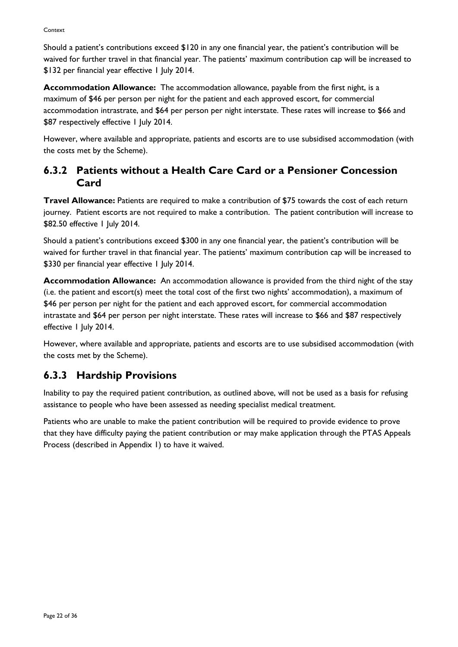Should a patient's contributions exceed \$120 in any one financial year, the patient's contribution will be waived for further travel in that financial year. The patients' maximum contribution cap will be increased to \$132 per financial year effective 1 July 2014.

**Accommodation Allowance:** The accommodation allowance, payable from the first night, is a maximum of \$46 per person per night for the patient and each approved escort, for commercial accommodation intrastrate, and \$64 per person per night interstate. These rates will increase to \$66 and \$87 respectively effective 1 July 2014.

However, where available and appropriate, patients and escorts are to use subsidised accommodation (with the costs met by the Scheme).

### **6.3.2 Patients without a Health Care Card or a Pensioner Concession Card**

**Travel Allowance:** Patients are required to make a contribution of \$75 towards the cost of each return journey. Patient escorts are not required to make a contribution. The patient contribution will increase to \$82.50 effective 1 July 2014.

Should a patient's contributions exceed \$300 in any one financial year, the patient's contribution will be waived for further travel in that financial year. The patients' maximum contribution cap will be increased to \$330 per financial year effective 1 July 2014.

**Accommodation Allowance:** An accommodation allowance is provided from the third night of the stay (i.e. the patient and escort(s) meet the total cost of the first two nights' accommodation), a maximum of \$46 per person per night for the patient and each approved escort, for commercial accommodation intrastate and \$64 per person per night interstate. These rates will increase to \$66 and \$87 respectively effective 1 July 2014.

However, where available and appropriate, patients and escorts are to use subsidised accommodation (with the costs met by the Scheme).

### **6.3.3 Hardship Provisions**

Inability to pay the required patient contribution, as outlined above, will not be used as a basis for refusing assistance to people who have been assessed as needing specialist medical treatment.

Patients who are unable to make the patient contribution will be required to provide evidence to prove that they have difficulty paying the patient contribution or may make application through the PTAS Appeals Process (described in Appendix 1) to have it waived.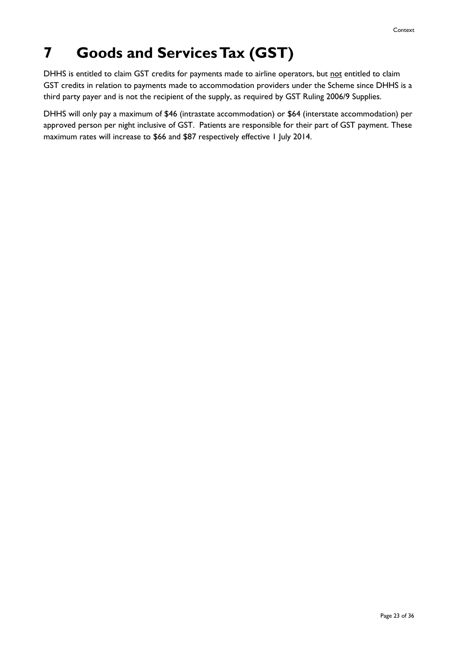## <span id="page-22-0"></span>**7 Goods and Services Tax (GST)**

DHHS is entitled to claim GST credits for payments made to airline operators, but not entitled to claim GST credits in relation to payments made to accommodation providers under the Scheme since DHHS is a third party payer and is not the recipient of the supply, as required by GST Ruling 2006/9 Supplies.

DHHS will only pay a maximum of \$46 (intrastate accommodation) or \$64 (interstate accommodation) per approved person per night inclusive of GST. Patients are responsible for their part of GST payment. These maximum rates will increase to \$66 and \$87 respectively effective 1 July 2014.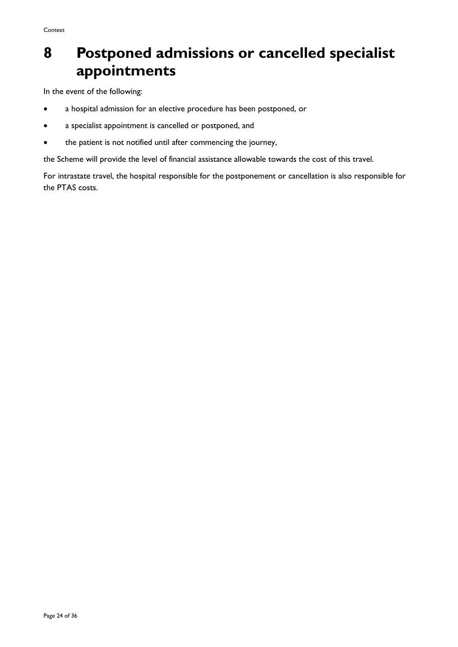## <span id="page-23-0"></span>**8 Postponed admissions or cancelled specialist appointments**

In the event of the following:

- a hospital admission for an elective procedure has been postponed, or
- a specialist appointment is cancelled or postponed, and
- the patient is not notified until after commencing the journey,

the Scheme will provide the level of financial assistance allowable towards the cost of this travel.

For intrastate travel, the hospital responsible for the postponement or cancellation is also responsible for the PTAS costs.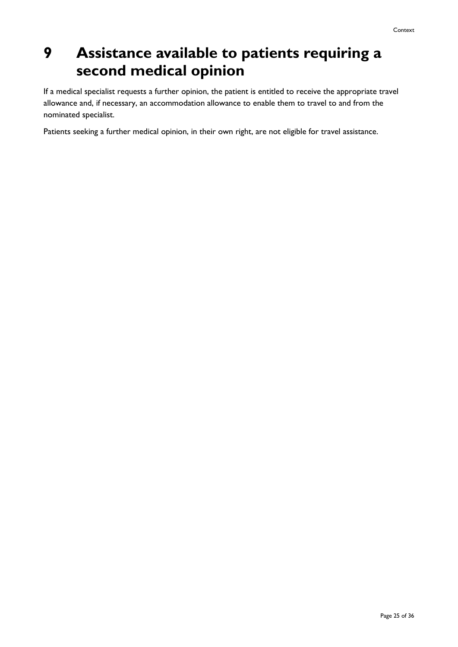## <span id="page-24-0"></span>**9 Assistance available to patients requiring a second medical opinion**

If a medical specialist requests a further opinion, the patient is entitled to receive the appropriate travel allowance and, if necessary, an accommodation allowance to enable them to travel to and from the nominated specialist.

Patients seeking a further medical opinion, in their own right, are not eligible for travel assistance.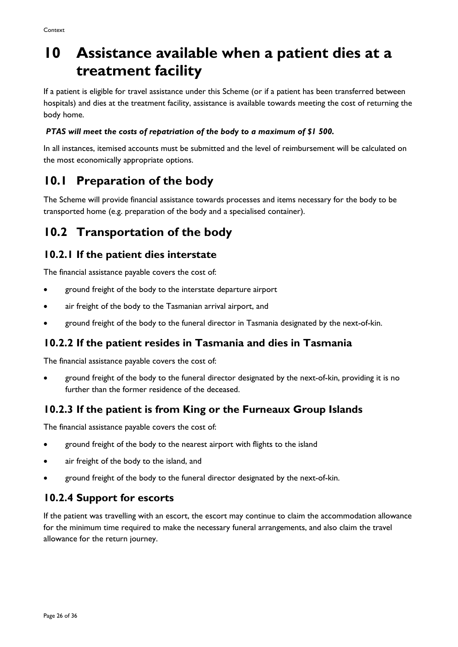## <span id="page-25-0"></span>**10 Assistance available when a patient dies at a treatment facility**

If a patient is eligible for travel assistance under this Scheme (or if a patient has been transferred between hospitals) and dies at the treatment facility, assistance is available towards meeting the cost of returning the body home.

#### *PTAS will meet the costs of repatriation of the body to a maximum of \$1 500.*

In all instances, itemised accounts must be submitted and the level of reimbursement will be calculated on the most economically appropriate options.

### <span id="page-25-1"></span>**10.1 Preparation of the body**

The Scheme will provide financial assistance towards processes and items necessary for the body to be transported home (e.g. preparation of the body and a specialised container).

### <span id="page-25-2"></span>**10.2 Transportation of the body**

### **10.2.1 If the patient dies interstate**

The financial assistance payable covers the cost of:

- ground freight of the body to the interstate departure airport
- air freight of the body to the Tasmanian arrival airport, and
- ground freight of the body to the funeral director in Tasmania designated by the next-of-kin.

### **10.2.2 If the patient resides in Tasmania and dies in Tasmania**

The financial assistance payable covers the cost of:

• ground freight of the body to the funeral director designated by the next-of-kin, providing it is no further than the former residence of the deceased.

### **10.2.3 If the patient is from King or the Furneaux Group Islands**

The financial assistance payable covers the cost of:

- ground freight of the body to the nearest airport with flights to the island
- air freight of the body to the island, and
- ground freight of the body to the funeral director designated by the next-of-kin.

### **10.2.4 Support for escorts**

If the patient was travelling with an escort, the escort may continue to claim the accommodation allowance for the minimum time required to make the necessary funeral arrangements, and also claim the travel allowance for the return journey.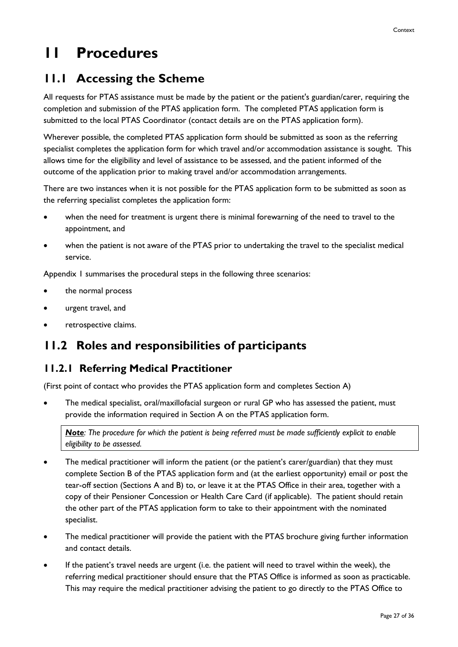## <span id="page-26-0"></span>**11 Procedures**

### <span id="page-26-1"></span>**11.1 Accessing the Scheme**

All requests for PTAS assistance must be made by the patient or the patient's guardian/carer, requiring the completion and submission of the PTAS application form. The completed PTAS application form is submitted to the local PTAS Coordinator (contact details are on the PTAS application form).

Wherever possible, the completed PTAS application form should be submitted as soon as the referring specialist completes the application form for which travel and/or accommodation assistance is sought. This allows time for the eligibility and level of assistance to be assessed, and the patient informed of the outcome of the application prior to making travel and/or accommodation arrangements.

There are two instances when it is not possible for the PTAS application form to be submitted as soon as the referring specialist completes the application form:

- when the need for treatment is urgent there is minimal forewarning of the need to travel to the appointment, and
- when the patient is not aware of the PTAS prior to undertaking the travel to the specialist medical service.

Appendix 1 summarises the procedural steps in the following three scenarios:

- the normal process
- urgent travel, and
- retrospective claims.

### <span id="page-26-2"></span>**11.2 Roles and responsibilities of participants**

### **11.2.1 Referring Medical Practitioner**

(First point of contact who provides the PTAS application form and completes Section A)

• The medical specialist, oral/maxillofacial surgeon or rural GP who has assessed the patient, must provide the information required in Section A on the PTAS application form.

*Note: The procedure for which the patient is being referred must be made sufficiently explicit to enable eligibility to be assessed.*

- The medical practitioner will inform the patient (or the patient's carer/guardian) that they must complete Section B of the PTAS application form and (at the earliest opportunity) email or post the tear-off section (Sections A and B) to, or leave it at the PTAS Office in their area, together with a copy of their Pensioner Concession or Health Care Card (if applicable). The patient should retain the other part of the PTAS application form to take to their appointment with the nominated specialist.
- The medical practitioner will provide the patient with the PTAS brochure giving further information and contact details.
- If the patient's travel needs are urgent (i.e. the patient will need to travel within the week), the referring medical practitioner should ensure that the PTAS Office is informed as soon as practicable. This may require the medical practitioner advising the patient to go directly to the PTAS Office to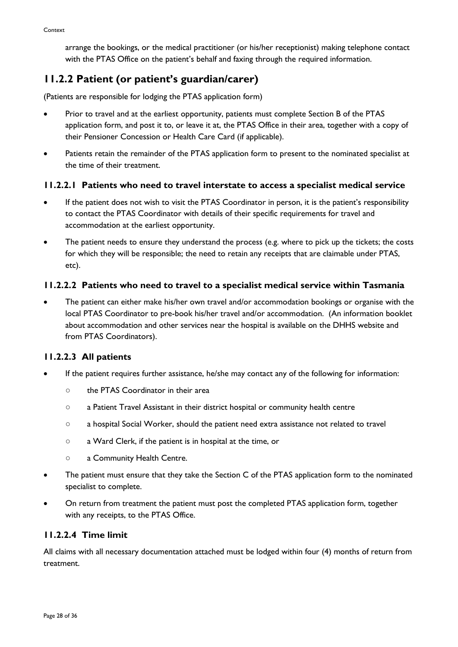arrange the bookings, or the medical practitioner (or his/her receptionist) making telephone contact with the PTAS Office on the patient's behalf and faxing through the required information.

### **11.2.2 Patient (or patient's guardian/carer)**

(Patients are responsible for lodging the PTAS application form)

- Prior to travel and at the earliest opportunity, patients must complete Section B of the PTAS application form, and post it to, or leave it at, the PTAS Office in their area, together with a copy of their Pensioner Concession or Health Care Card (if applicable).
- Patients retain the remainder of the PTAS application form to present to the nominated specialist at the time of their treatment.

#### **11.2.2.1 Patients who need to travel interstate to access a specialist medical service**

- If the patient does not wish to visit the PTAS Coordinator in person, it is the patient's responsibility to contact the PTAS Coordinator with details of their specific requirements for travel and accommodation at the earliest opportunity.
- The patient needs to ensure they understand the process (e.g. where to pick up the tickets; the costs for which they will be responsible; the need to retain any receipts that are claimable under PTAS, etc).

#### **11.2.2.2 Patients who need to travel to a specialist medical service within Tasmania**

• The patient can either make his/her own travel and/or accommodation bookings or organise with the local PTAS Coordinator to pre-book his/her travel and/or accommodation. (An information booklet about accommodation and other services near the hospital is available on the DHHS website and from PTAS Coordinators).

#### **11.2.2.3 All patients**

- If the patient requires further assistance, he/she may contact any of the following for information:
	- the PTAS Coordinator in their area
	- a Patient Travel Assistant in their district hospital or community health centre
	- a hospital Social Worker, should the patient need extra assistance not related to travel
	- a Ward Clerk, if the patient is in hospital at the time, or
	- a Community Health Centre.
- The patient must ensure that they take the Section C of the PTAS application form to the nominated specialist to complete.
- On return from treatment the patient must post the completed PTAS application form, together with any receipts, to the PTAS Office.

#### **11.2.2.4 Time limit**

All claims with all necessary documentation attached must be lodged within four (4) months of return from treatment.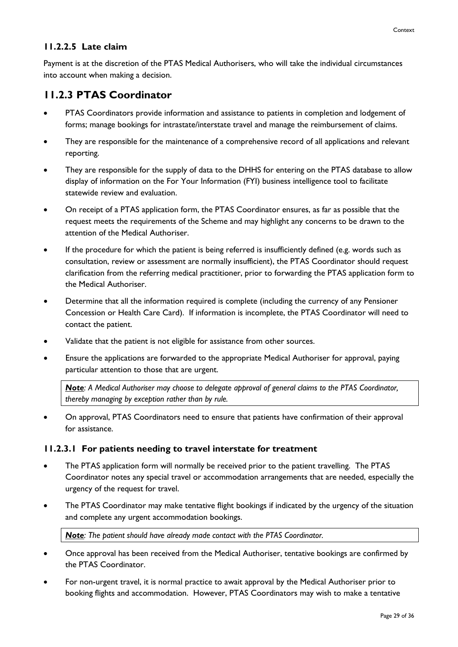#### **11.2.2.5 Late claim**

Payment is at the discretion of the PTAS Medical Authorisers, who will take the individual circumstances into account when making a decision.

### **11.2.3 PTAS Coordinator**

- PTAS Coordinators provide information and assistance to patients in completion and lodgement of forms; manage bookings for intrastate/interstate travel and manage the reimbursement of claims.
- They are responsible for the maintenance of a comprehensive record of all applications and relevant reporting.
- They are responsible for the supply of data to the DHHS for entering on the PTAS database to allow display of information on the For Your Information (FYI) business intelligence tool to facilitate statewide review and evaluation.
- On receipt of a PTAS application form, the PTAS Coordinator ensures, as far as possible that the request meets the requirements of the Scheme and may highlight any concerns to be drawn to the attention of the Medical Authoriser.
- If the procedure for which the patient is being referred is insufficiently defined (e.g. words such as consultation, review or assessment are normally insufficient), the PTAS Coordinator should request clarification from the referring medical practitioner, prior to forwarding the PTAS application form to the Medical Authoriser.
- Determine that all the information required is complete (including the currency of any Pensioner Concession or Health Care Card). If information is incomplete, the PTAS Coordinator will need to contact the patient.
- Validate that the patient is not eligible for assistance from other sources.
- Ensure the applications are forwarded to the appropriate Medical Authoriser for approval, paying particular attention to those that are urgent.

*Note: A Medical Authoriser may choose to delegate approval of general claims to the PTAS Coordinator, thereby managing by exception rather than by rule.*

• On approval, PTAS Coordinators need to ensure that patients have confirmation of their approval for assistance.

#### **11.2.3.1 For patients needing to travel interstate for treatment**

- The PTAS application form will normally be received prior to the patient travelling. The PTAS Coordinator notes any special travel or accommodation arrangements that are needed, especially the urgency of the request for travel.
- The PTAS Coordinator may make tentative flight bookings if indicated by the urgency of the situation and complete any urgent accommodation bookings.

*Note: The patient should have already made contact with the PTAS Coordinator.*

- Once approval has been received from the Medical Authoriser, tentative bookings are confirmed by the PTAS Coordinator.
- For non-urgent travel, it is normal practice to await approval by the Medical Authoriser prior to booking flights and accommodation. However, PTAS Coordinators may wish to make a tentative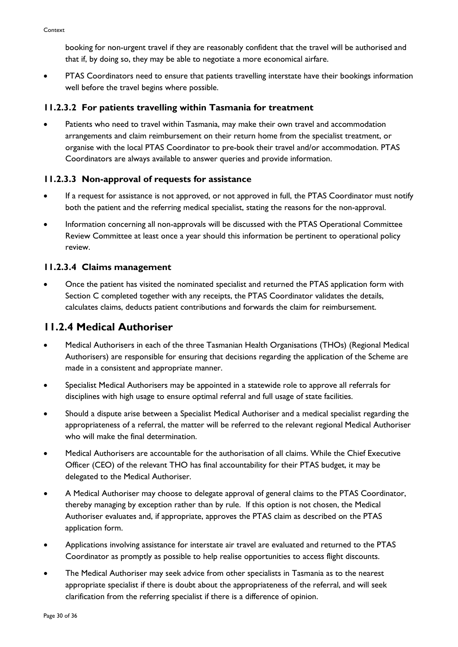booking for non-urgent travel if they are reasonably confident that the travel will be authorised and that if, by doing so, they may be able to negotiate a more economical airfare.

• PTAS Coordinators need to ensure that patients travelling interstate have their bookings information well before the travel begins where possible.

#### **11.2.3.2 For patients travelling within Tasmania for treatment**

• Patients who need to travel within Tasmania, may make their own travel and accommodation arrangements and claim reimbursement on their return home from the specialist treatment, or organise with the local PTAS Coordinator to pre-book their travel and/or accommodation. PTAS Coordinators are always available to answer queries and provide information.

#### **11.2.3.3 Non-approval of requests for assistance**

- If a request for assistance is not approved, or not approved in full, the PTAS Coordinator must notify both the patient and the referring medical specialist, stating the reasons for the non-approval.
- Information concerning all non-approvals will be discussed with the PTAS Operational Committee Review Committee at least once a year should this information be pertinent to operational policy review.

#### **11.2.3.4 Claims management**

• Once the patient has visited the nominated specialist and returned the PTAS application form with Section C completed together with any receipts, the PTAS Coordinator validates the details, calculates claims, deducts patient contributions and forwards the claim for reimbursement.

### **11.2.4 Medical Authoriser**

- Medical Authorisers in each of the three Tasmanian Health Organisations (THOs) (Regional Medical Authorisers) are responsible for ensuring that decisions regarding the application of the Scheme are made in a consistent and appropriate manner.
- Specialist Medical Authorisers may be appointed in a statewide role to approve all referrals for disciplines with high usage to ensure optimal referral and full usage of state facilities.
- Should a dispute arise between a Specialist Medical Authoriser and a medical specialist regarding the appropriateness of a referral, the matter will be referred to the relevant regional Medical Authoriser who will make the final determination.
- Medical Authorisers are accountable for the authorisation of all claims. While the Chief Executive Officer (CEO) of the relevant THO has final accountability for their PTAS budget, it may be delegated to the Medical Authoriser.
- A Medical Authoriser may choose to delegate approval of general claims to the PTAS Coordinator, thereby managing by exception rather than by rule. If this option is not chosen, the Medical Authoriser evaluates and, if appropriate, approves the PTAS claim as described on the PTAS application form.
- Applications involving assistance for interstate air travel are evaluated and returned to the PTAS Coordinator as promptly as possible to help realise opportunities to access flight discounts.
- The Medical Authoriser may seek advice from other specialists in Tasmania as to the nearest appropriate specialist if there is doubt about the appropriateness of the referral, and will seek clarification from the referring specialist if there is a difference of opinion.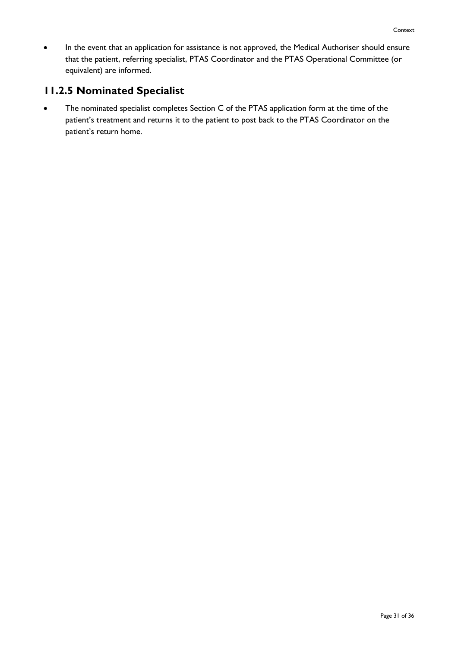• In the event that an application for assistance is not approved, the Medical Authoriser should ensure that the patient, referring specialist, PTAS Coordinator and the PTAS Operational Committee (or equivalent) are informed.

### **11.2.5 Nominated Specialist**

• The nominated specialist completes Section C of the PTAS application form at the time of the patient's treatment and returns it to the patient to post back to the PTAS Coordinator on the patient's return home.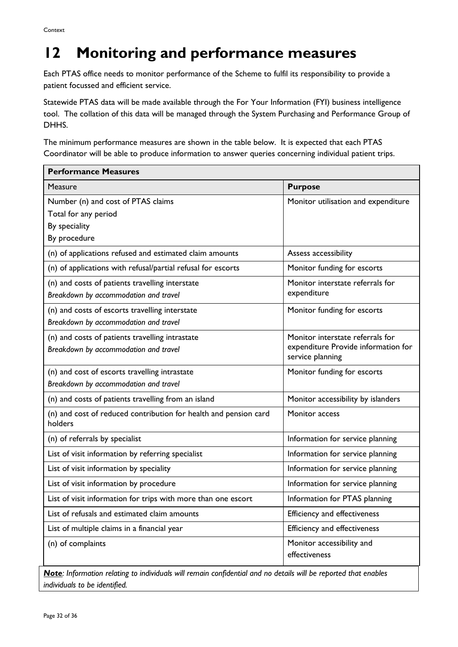## <span id="page-31-0"></span>**12 Monitoring and performance measures**

Each PTAS office needs to monitor performance of the Scheme to fulfil its responsibility to provide a patient focussed and efficient service.

Statewide PTAS data will be made available through the For Your Information (FYI) business intelligence tool. The collation of this data will be managed through the System Purchasing and Performance Group of DHHS.

The minimum performance measures are shown in the table below. It is expected that each PTAS Coordinator will be able to produce information to answer queries concerning individual patient trips.

| <b>Performance Measures</b>                                                                 |                                                                                             |  |  |  |
|---------------------------------------------------------------------------------------------|---------------------------------------------------------------------------------------------|--|--|--|
| Measure                                                                                     | <b>Purpose</b>                                                                              |  |  |  |
| Number (n) and cost of PTAS claims<br>Total for any period<br>By speciality<br>By procedure | Monitor utilisation and expenditure                                                         |  |  |  |
| (n) of applications refused and estimated claim amounts                                     | Assess accessibility                                                                        |  |  |  |
| (n) of applications with refusal/partial refusal for escorts                                | Monitor funding for escorts                                                                 |  |  |  |
| (n) and costs of patients travelling interstate<br>Breakdown by accommodation and travel    | Monitor interstate referrals for<br>expenditure                                             |  |  |  |
| (n) and costs of escorts travelling interstate<br>Breakdown by accommodation and travel     | Monitor funding for escorts                                                                 |  |  |  |
| (n) and costs of patients travelling intrastate<br>Breakdown by accommodation and travel    | Monitor interstate referrals for<br>expenditure Provide information for<br>service planning |  |  |  |
| (n) and cost of escorts travelling intrastate<br>Breakdown by accommodation and travel      | Monitor funding for escorts                                                                 |  |  |  |
| (n) and costs of patients travelling from an island                                         | Monitor accessibility by islanders                                                          |  |  |  |
| (n) and cost of reduced contribution for health and pension card<br>holders                 | Monitor access                                                                              |  |  |  |
| (n) of referrals by specialist                                                              | Information for service planning                                                            |  |  |  |
| List of visit information by referring specialist                                           | Information for service planning                                                            |  |  |  |
| List of visit information by speciality                                                     | Information for service planning                                                            |  |  |  |
| List of visit information by procedure                                                      | Information for service planning                                                            |  |  |  |
| List of visit information for trips with more than one escort                               | Information for PTAS planning                                                               |  |  |  |
| List of refusals and estimated claim amounts                                                | Efficiency and effectiveness                                                                |  |  |  |
| List of multiple claims in a financial year                                                 | Efficiency and effectiveness                                                                |  |  |  |
| (n) of complaints                                                                           | Monitor accessibility and<br>effectiveness                                                  |  |  |  |

*Note: Information relating to individuals will remain confidential and no details will be reported that enables individuals to be identified.*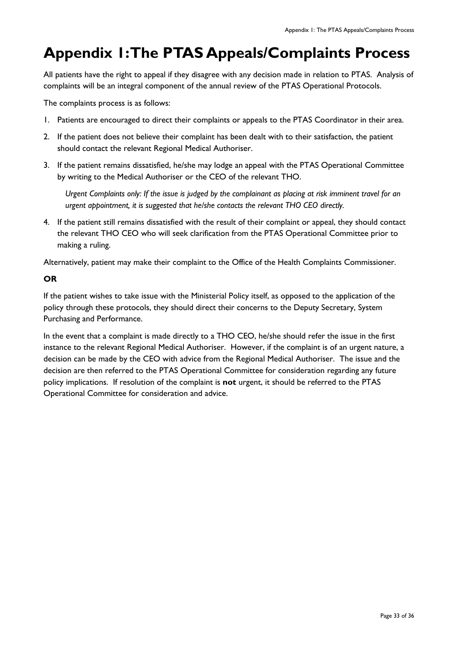## <span id="page-32-0"></span>**Appendix 1: The PTAS Appeals/Complaints Process**

All patients have the right to appeal if they disagree with any decision made in relation to PTAS. Analysis of complaints will be an integral component of the annual review of the PTAS Operational Protocols.

The complaints process is as follows:

- 1. Patients are encouraged to direct their complaints or appeals to the PTAS Coordinator in their area.
- 2. If the patient does not believe their complaint has been dealt with to their satisfaction, the patient should contact the relevant Regional Medical Authoriser.
- 3. If the patient remains dissatisfied, he/she may lodge an appeal with the PTAS Operational Committee by writing to the Medical Authoriser or the CEO of the relevant THO.

*Urgent Complaints only: If the issue is judged by the complainant as placing at risk imminent travel for an urgent appointment, it is suggested that he/she contacts the relevant THO CEO directly.* 

4. If the patient still remains dissatisfied with the result of their complaint or appeal, they should contact the relevant THO CEO who will seek clarification from the PTAS Operational Committee prior to making a ruling.

Alternatively, patient may make their complaint to the Office of the Health Complaints Commissioner.

#### **OR**

If the patient wishes to take issue with the Ministerial Policy itself, as opposed to the application of the policy through these protocols, they should direct their concerns to the Deputy Secretary, System Purchasing and Performance.

In the event that a complaint is made directly to a THO CEO, he/she should refer the issue in the first instance to the relevant Regional Medical Authoriser. However, if the complaint is of an urgent nature, a decision can be made by the CEO with advice from the Regional Medical Authoriser. The issue and the decision are then referred to the PTAS Operational Committee for consideration regarding any future policy implications. If resolution of the complaint is **not** urgent, it should be referred to the PTAS Operational Committee for consideration and advice.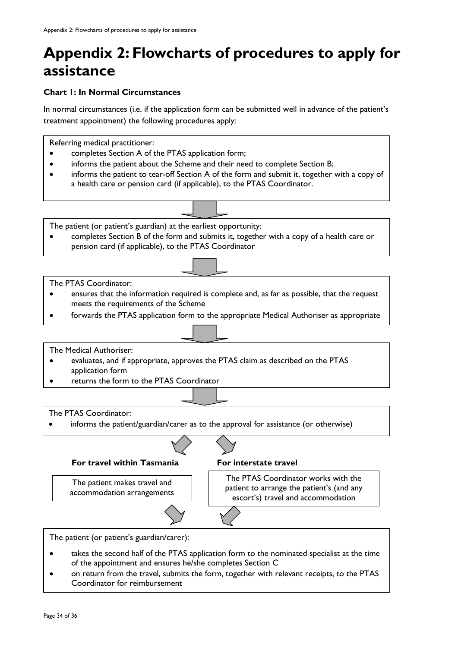## <span id="page-33-0"></span>**Appendix 2: Flowcharts of procedures to apply for assistance**

#### **Chart 1: In Normal Circumstances**

In normal circumstances (i.e. if the application form can be submitted well in advance of the patient's treatment appointment) the following procedures apply:

Referring medical practitioner:

- completes Section A of the PTAS application form;
- informs the patient about the Scheme and their need to complete Section B;
- informs the patient to tear-off Section A of the form and submit it, together with a copy of a health care or pension card (if applicable), to the PTAS Coordinator.

The patient (or patient's guardian) at the earliest opportunity:

• completes Section B of the form and submits it, together with a copy of a health care or pension card (if applicable), to the PTAS Coordinator

The PTAS Coordinator:

- ensures that the information required is complete and, as far as possible, that the request meets the requirements of the Scheme
- forwards the PTAS application form to the appropriate Medical Authoriser as appropriate

The Medical Authoriser:

- evaluates, and if appropriate, approves the PTAS claim as described on the PTAS application form
- returns the form to the PTAS Coordinator

The PTAS Coordinator:

informs the patient/guardian/carer as to the approval for assistance (or otherwise)



The patient makes travel and accommodation arrangements

The PTAS Coordinator works with the patient to arrange the patient's (and any escort's) travel and accommodation

The patient (or patient's guardian/carer):

- takes the second half of the PTAS application form to the nominated specialist at the time of the appointment and ensures he/she completes Section C
- on return from the travel, submits the form, together with relevant receipts, to the PTAS Coordinator for reimbursement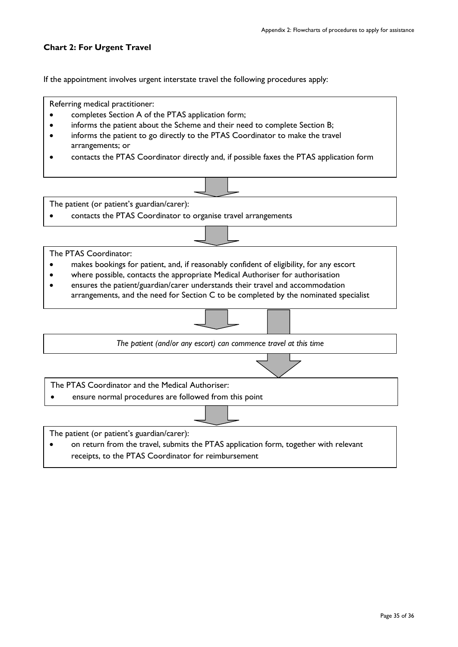#### **Chart 2: For Urgent Travel**

If the appointment involves urgent interstate travel the following procedures apply:



receipts, to the PTAS Coordinator for reimbursement